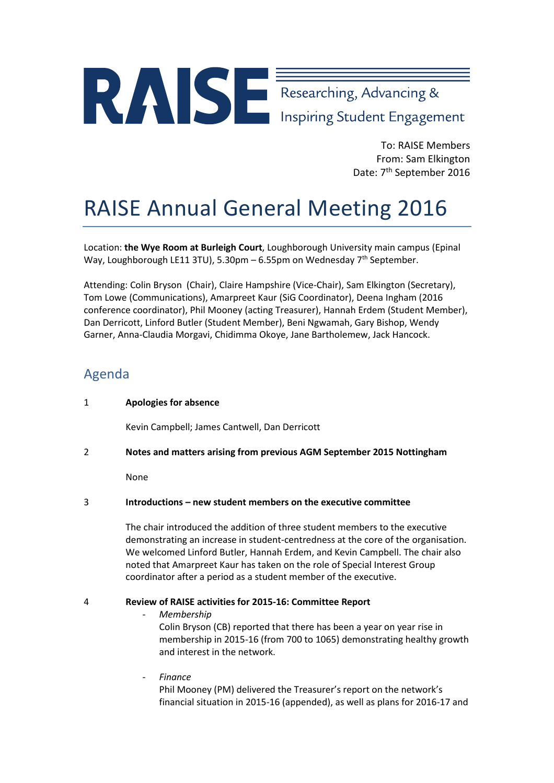# Researching, Advancing &

To: RAISE Members From: Sam Elkington Date: 7<sup>th</sup> September 2016

# RAISE Annual General Meeting 2016

Location: **the Wye Room at Burleigh Court**, Loughborough University main campus (Epinal Way, Loughborough LE11 3TU), 5.30pm – 6.55pm on Wednesday 7<sup>th</sup> September.

Attending: Colin Bryson (Chair), Claire Hampshire (Vice-Chair), Sam Elkington (Secretary), Tom Lowe (Communications), Amarpreet Kaur (SiG Coordinator), Deena Ingham (2016 conference coordinator), Phil Mooney (acting Treasurer), Hannah Erdem (Student Member), Dan Derricott, Linford Butler (Student Member), Beni Ngwamah, Gary Bishop, Wendy Garner, Anna-Claudia Morgavi, Chidimma Okoye, Jane Bartholemew, Jack Hancock.

## Agenda

#### 1 **Apologies for absence**

Kevin Campbell; James Cantwell, Dan Derricott

2 **Notes and matters arising from previous AGM September 2015 Nottingham**

None

#### 3 **Introductions – new student members on the executive committee**

The chair introduced the addition of three student members to the executive demonstrating an increase in student-centredness at the core of the organisation. We welcomed Linford Butler, Hannah Erdem, and Kevin Campbell. The chair also noted that Amarpreet Kaur has taken on the role of Special Interest Group coordinator after a period as a student member of the executive.

#### 4 **Review of RAISE activities for 2015-16: Committee Report**

- *Membership* Colin Bryson (CB) reported that there has been a year on year rise in membership in 2015-16 (from 700 to 1065) demonstrating healthy growth and interest in the network.
- *Finance*

Phil Mooney (PM) delivered the Treasurer's report on the network's financial situation in 2015-16 (appended), as well as plans for 2016-17 and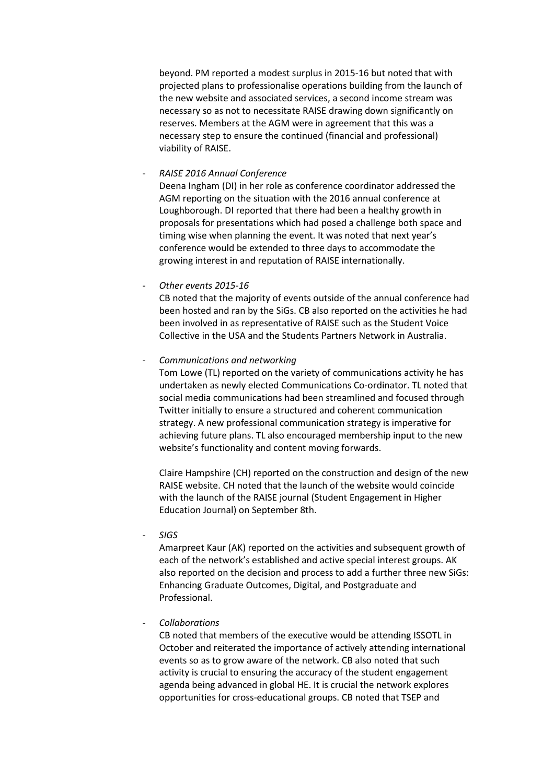beyond. PM reported a modest surplus in 2015-16 but noted that with projected plans to professionalise operations building from the launch of the new website and associated services, a second income stream was necessary so as not to necessitate RAISE drawing down significantly on reserves. Members at the AGM were in agreement that this was a necessary step to ensure the continued (financial and professional) viability of RAISE.

- *RAISE 2016 Annual Conference*

Deena Ingham (DI) in her role as conference coordinator addressed the AGM reporting on the situation with the 2016 annual conference at Loughborough. DI reported that there had been a healthy growth in proposals for presentations which had posed a challenge both space and timing wise when planning the event. It was noted that next year's conference would be extended to three days to accommodate the growing interest in and reputation of RAISE internationally.

- *Other events 2015-16*

CB noted that the majority of events outside of the annual conference had been hosted and ran by the SiGs. CB also reported on the activities he had been involved in as representative of RAISE such as the Student Voice Collective in the USA and the Students Partners Network in Australia.

- *Communications and networking*

Tom Lowe (TL) reported on the variety of communications activity he has undertaken as newly elected Communications Co-ordinator. TL noted that social media communications had been streamlined and focused through Twitter initially to ensure a structured and coherent communication strategy. A new professional communication strategy is imperative for achieving future plans. TL also encouraged membership input to the new website's functionality and content moving forwards.

Claire Hampshire (CH) reported on the construction and design of the new RAISE website. CH noted that the launch of the website would coincide with the launch of the RAISE journal (Student Engagement in Higher Education Journal) on September 8th.

- *SIGS*

Amarpreet Kaur (AK) reported on the activities and subsequent growth of each of the network's established and active special interest groups. AK also reported on the decision and process to add a further three new SiGs: Enhancing Graduate Outcomes, Digital, and Postgraduate and Professional.

- *Collaborations*

CB noted that members of the executive would be attending ISSOTL in October and reiterated the importance of actively attending international events so as to grow aware of the network. CB also noted that such activity is crucial to ensuring the accuracy of the student engagement agenda being advanced in global HE. It is crucial the network explores opportunities for cross-educational groups. CB noted that TSEP and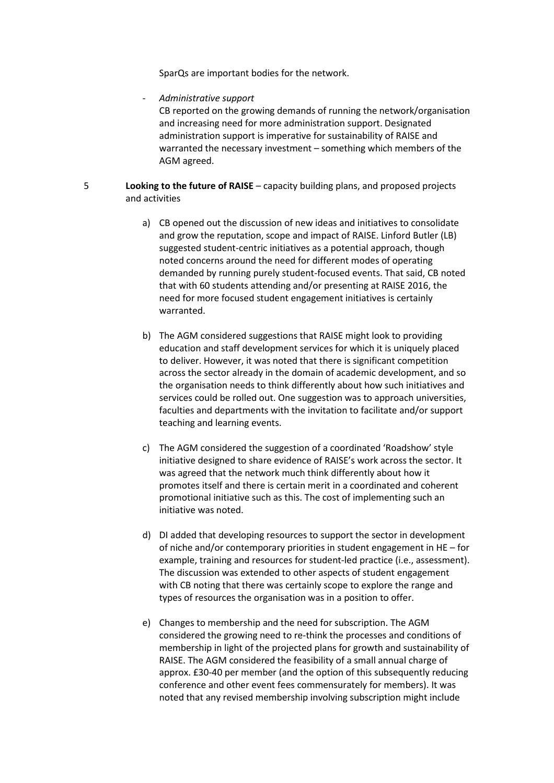SparQs are important bodies for the network.

- *Administrative support*

CB reported on the growing demands of running the network/organisation and increasing need for more administration support. Designated administration support is imperative for sustainability of RAISE and warranted the necessary investment – something which members of the AGM agreed.

- 5 **Looking to the future of RAISE** capacity building plans, and proposed projects and activities
	- a) CB opened out the discussion of new ideas and initiatives to consolidate and grow the reputation, scope and impact of RAISE. Linford Butler (LB) suggested student-centric initiatives as a potential approach, though noted concerns around the need for different modes of operating demanded by running purely student-focused events. That said, CB noted that with 60 students attending and/or presenting at RAISE 2016, the need for more focused student engagement initiatives is certainly warranted.
	- b) The AGM considered suggestions that RAISE might look to providing education and staff development services for which it is uniquely placed to deliver. However, it was noted that there is significant competition across the sector already in the domain of academic development, and so the organisation needs to think differently about how such initiatives and services could be rolled out. One suggestion was to approach universities, faculties and departments with the invitation to facilitate and/or support teaching and learning events.
	- c) The AGM considered the suggestion of a coordinated 'Roadshow' style initiative designed to share evidence of RAISE's work across the sector. It was agreed that the network much think differently about how it promotes itself and there is certain merit in a coordinated and coherent promotional initiative such as this. The cost of implementing such an initiative was noted.
	- d) DI added that developing resources to support the sector in development of niche and/or contemporary priorities in student engagement in HE – for example, training and resources for student-led practice (i.e., assessment). The discussion was extended to other aspects of student engagement with CB noting that there was certainly scope to explore the range and types of resources the organisation was in a position to offer.
	- e) Changes to membership and the need for subscription. The AGM considered the growing need to re-think the processes and conditions of membership in light of the projected plans for growth and sustainability of RAISE. The AGM considered the feasibility of a small annual charge of approx. £30-40 per member (and the option of this subsequently reducing conference and other event fees commensurately for members). It was noted that any revised membership involving subscription might include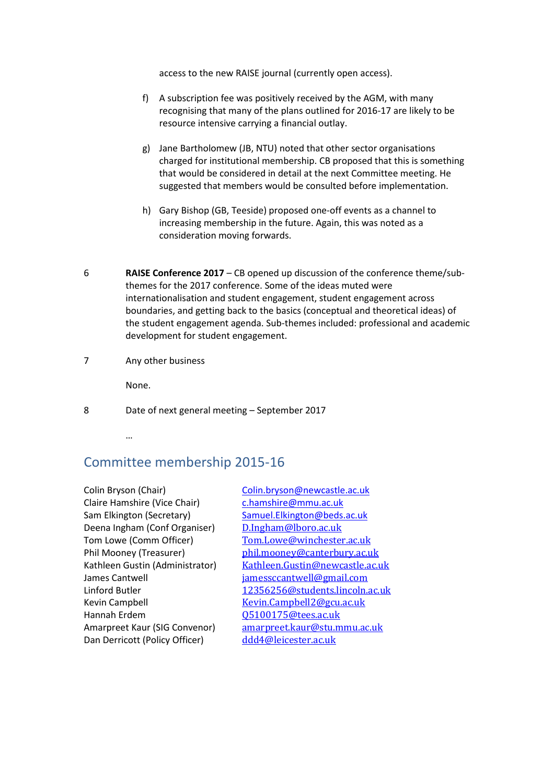access to the new RAISE journal (currently open access).

- f) A subscription fee was positively received by the AGM, with many recognising that many of the plans outlined for 2016-17 are likely to be resource intensive carrying a financial outlay.
- g) Jane Bartholomew (JB, NTU) noted that other sector organisations charged for institutional membership. CB proposed that this is something that would be considered in detail at the next Committee meeting. He suggested that members would be consulted before implementation.
- h) Gary Bishop (GB, Teeside) proposed one-off events as a channel to increasing membership in the future. Again, this was noted as a consideration moving forwards.
- 6 **RAISE Conference 2017** CB opened up discussion of the conference theme/subthemes for the 2017 conference. Some of the ideas muted were internationalisation and student engagement, student engagement across boundaries, and getting back to the basics (conceptual and theoretical ideas) of the student engagement agenda. Sub-themes included: professional and academic development for student engagement.
- 7 Any other business

None.

8 Date of next general meeting – September 2017

…

## Committee membership 2015-16

Colin Bryson (Chair) [Colin.bryson@newcastle.ac.uk](mailto:Colin.bryson@newcastle.ac.uk) Claire Hamshire (Vice Chair) chamshire@mmu.ac.uk Sam Elkington (Secretary) [Samuel.Elkington@beds.ac.uk](mailto:Samuel.Elkington@beds.ac.uk) Deena Ingham (Conf Organiser) [D.Ingham@lboro.ac.uk](mailto:D.Ingham@lboro.ac.uk)<br>Tom Lowe (Comm Officer) Tom.Lowe@winchester Tom Lowe (Comm Officer)<br>
Phil Mooney (Treasurer) [Tom.Lowe@winchester.ac.uk](mailto:Tom.Lowe@winchester.ac.uk)<br>
phil.mooney@canterbury.ac.u James Cantwell<br>
Linford Butler<br>
12356256@students.lincoln.a Kevin Campbell **Kevin**.Campbell2@gcu.ac.uk<br>
Hannah Erdem (195100175@tees.ac.uk Hannah Erdem  $\frac{Q5100175@tees.ac.uk}{amarpreet.Kaur@stu.m}$  $\frac{Q5100175@tees.ac.uk}{amarpreet.Kaur@stu.m}$  $\frac{Q5100175@tees.ac.uk}{amarpreet.Kaur@stu.m}$ Dan Derricott (Policy Officer)

Phil Mooney (Treasurer) [phil.mooney@canterbury.ac.uk](mailto:phil.mooney@canterbury.ac.uk)<br>Kathleen Gustin (Administrator) Kathleen.Gustin@newcastle.ac.u Kathleen Gustin (Administrator) <br>  $\frac{\text{Kathleen.Gustin@newcastle.ac.uk}}{\text{iamessccantwell@gmail.com}}$  $\frac{\text{Kathleen.Gustin@newcastle.ac.uk}}{\text{iamessccantwell@gmail.com}}$  $\frac{\text{Kathleen.Gustin@newcastle.ac.uk}}{\text{iamessccantwell@gmail.com}}$ Linford Butler [12356256@students.lincoln.ac.uk](mailto:12356256@students.lincoln.ac.uk)<br>
Kevin Campbell<br>
Kevin.Campbell2@gcu.ac.uk [amarpreet.kaur@stu.mmu.ac.uk](mailto:amarpreet.kaur@stu.mmu.ac.uk)<br>ddd4@leicester.ac.uk